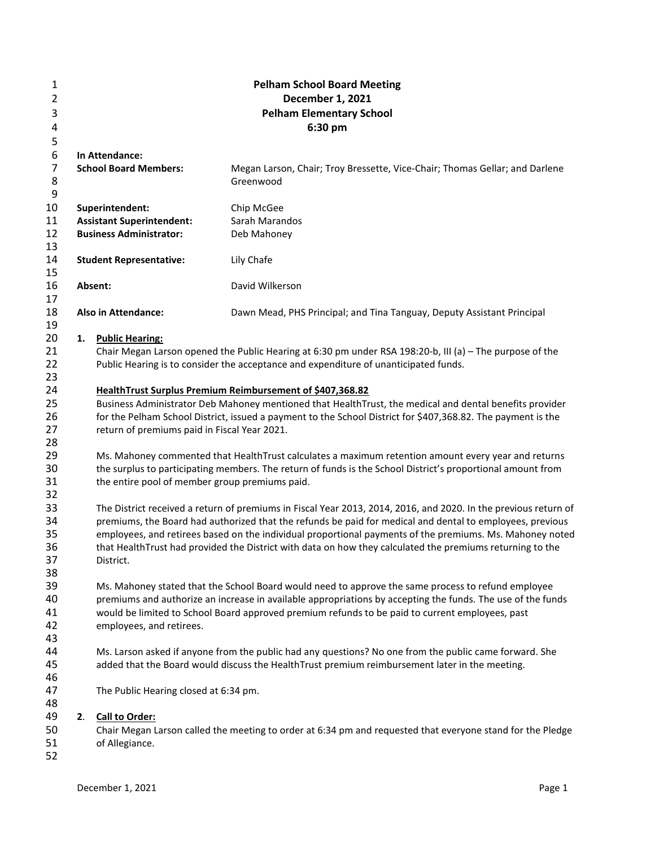| 1              |    | <b>Pelham School Board Meeting</b>             |                                                                                                                 |  |  |  |  |
|----------------|----|------------------------------------------------|-----------------------------------------------------------------------------------------------------------------|--|--|--|--|
| $\overline{2}$ |    |                                                | December 1, 2021                                                                                                |  |  |  |  |
| 3              |    |                                                | <b>Pelham Elementary School</b>                                                                                 |  |  |  |  |
| 4              |    |                                                | 6:30 pm                                                                                                         |  |  |  |  |
| 5              |    |                                                |                                                                                                                 |  |  |  |  |
| 6              |    | In Attendance:                                 |                                                                                                                 |  |  |  |  |
| $\overline{7}$ |    | <b>School Board Members:</b>                   | Megan Larson, Chair; Troy Bressette, Vice-Chair; Thomas Gellar; and Darlene                                     |  |  |  |  |
| 8              |    |                                                | Greenwood                                                                                                       |  |  |  |  |
| 9              |    |                                                |                                                                                                                 |  |  |  |  |
| 10             |    | Superintendent:                                | Chip McGee                                                                                                      |  |  |  |  |
| 11             |    | <b>Assistant Superintendent:</b>               | Sarah Marandos                                                                                                  |  |  |  |  |
| 12             |    | <b>Business Administrator:</b>                 | Deb Mahoney                                                                                                     |  |  |  |  |
| 13             |    |                                                |                                                                                                                 |  |  |  |  |
| 14             |    | <b>Student Representative:</b>                 | Lily Chafe                                                                                                      |  |  |  |  |
| 15             |    |                                                |                                                                                                                 |  |  |  |  |
| 16             |    | Absent:                                        | David Wilkerson                                                                                                 |  |  |  |  |
| 17             |    |                                                |                                                                                                                 |  |  |  |  |
| 18             |    | <b>Also in Attendance:</b>                     | Dawn Mead, PHS Principal; and Tina Tanguay, Deputy Assistant Principal                                          |  |  |  |  |
| 19             |    |                                                |                                                                                                                 |  |  |  |  |
| 20             | 1. | <b>Public Hearing:</b>                         |                                                                                                                 |  |  |  |  |
| 21             |    |                                                | Chair Megan Larson opened the Public Hearing at 6:30 pm under RSA 198:20-b, III (a) - The purpose of the        |  |  |  |  |
| 22             |    |                                                | Public Hearing is to consider the acceptance and expenditure of unanticipated funds.                            |  |  |  |  |
| 23             |    |                                                |                                                                                                                 |  |  |  |  |
| 24             |    |                                                | HealthTrust Surplus Premium Reimbursement of \$407,368.82                                                       |  |  |  |  |
| 25             |    |                                                | Business Administrator Deb Mahoney mentioned that HealthTrust, the medical and dental benefits provider         |  |  |  |  |
| 26             |    |                                                | for the Pelham School District, issued a payment to the School District for \$407,368.82. The payment is the    |  |  |  |  |
| 27             |    | return of premiums paid in Fiscal Year 2021.   |                                                                                                                 |  |  |  |  |
| 28             |    |                                                |                                                                                                                 |  |  |  |  |
| 29             |    |                                                | Ms. Mahoney commented that HealthTrust calculates a maximum retention amount every year and returns             |  |  |  |  |
| 30             |    |                                                | the surplus to participating members. The return of funds is the School District's proportional amount from     |  |  |  |  |
| 31             |    | the entire pool of member group premiums paid. |                                                                                                                 |  |  |  |  |
| 32             |    |                                                |                                                                                                                 |  |  |  |  |
| 33             |    |                                                | The District received a return of premiums in Fiscal Year 2013, 2014, 2016, and 2020. In the previous return of |  |  |  |  |
| 34             |    |                                                | premiums, the Board had authorized that the refunds be paid for medical and dental to employees, previous       |  |  |  |  |
| 35             |    |                                                | employees, and retirees based on the individual proportional payments of the premiums. Ms. Mahoney noted        |  |  |  |  |
| 36             |    |                                                | that HealthTrust had provided the District with data on how they calculated the premiums returning to the       |  |  |  |  |
| 37             |    | District.                                      |                                                                                                                 |  |  |  |  |
| 38             |    |                                                |                                                                                                                 |  |  |  |  |
| 39             |    |                                                | Ms. Mahoney stated that the School Board would need to approve the same process to refund employee              |  |  |  |  |
| 40             |    |                                                | premiums and authorize an increase in available appropriations by accepting the funds. The use of the funds     |  |  |  |  |
| 41             |    |                                                | would be limited to School Board approved premium refunds to be paid to current employees, past                 |  |  |  |  |
| 42             |    | employees, and retirees.                       |                                                                                                                 |  |  |  |  |
| 43             |    |                                                |                                                                                                                 |  |  |  |  |
| 44             |    |                                                | Ms. Larson asked if anyone from the public had any questions? No one from the public came forward. She          |  |  |  |  |
| 45             |    |                                                | added that the Board would discuss the HealthTrust premium reimbursement later in the meeting.                  |  |  |  |  |
| 46             |    |                                                |                                                                                                                 |  |  |  |  |
| 47             |    | The Public Hearing closed at 6:34 pm.          |                                                                                                                 |  |  |  |  |
| 48             |    |                                                |                                                                                                                 |  |  |  |  |
| 49             |    | 2. Call to Order:                              |                                                                                                                 |  |  |  |  |
| 50             |    |                                                | Chair Megan Larson called the meeting to order at 6:34 pm and requested that everyone stand for the Pledge      |  |  |  |  |
| 51             |    | of Allegiance.                                 |                                                                                                                 |  |  |  |  |
| 52             |    |                                                |                                                                                                                 |  |  |  |  |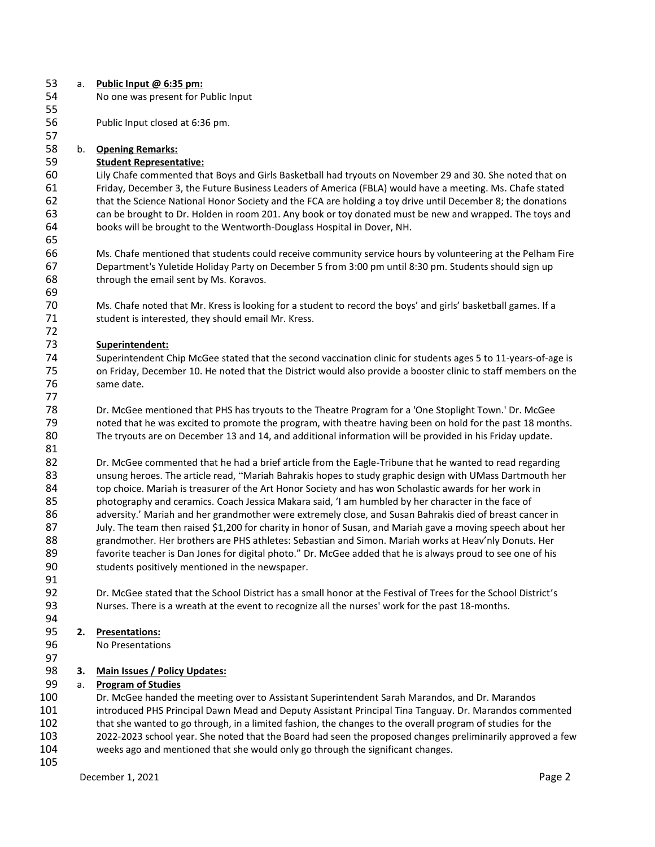| 53  | a. | Public Input @ 6:35 pm:                                                                                                                                                                                                  |
|-----|----|--------------------------------------------------------------------------------------------------------------------------------------------------------------------------------------------------------------------------|
| 54  |    | No one was present for Public Input                                                                                                                                                                                      |
| 55  |    |                                                                                                                                                                                                                          |
| 56  |    | Public Input closed at 6:36 pm.                                                                                                                                                                                          |
| 57  |    |                                                                                                                                                                                                                          |
| 58  | b. | <b>Opening Remarks:</b>                                                                                                                                                                                                  |
| 59  |    | <b>Student Representative:</b>                                                                                                                                                                                           |
| 60  |    | Lily Chafe commented that Boys and Girls Basketball had tryouts on November 29 and 30. She noted that on                                                                                                                 |
| 61  |    | Friday, December 3, the Future Business Leaders of America (FBLA) would have a meeting. Ms. Chafe stated                                                                                                                 |
| 62  |    | that the Science National Honor Society and the FCA are holding a toy drive until December 8; the donations                                                                                                              |
| 63  |    | can be brought to Dr. Holden in room 201. Any book or toy donated must be new and wrapped. The toys and                                                                                                                  |
| 64  |    | books will be brought to the Wentworth-Douglass Hospital in Dover, NH.                                                                                                                                                   |
| 65  |    |                                                                                                                                                                                                                          |
|     |    |                                                                                                                                                                                                                          |
| 66  |    | Ms. Chafe mentioned that students could receive community service hours by volunteering at the Pelham Fire                                                                                                               |
| 67  |    | Department's Yuletide Holiday Party on December 5 from 3:00 pm until 8:30 pm. Students should sign up                                                                                                                    |
| 68  |    | through the email sent by Ms. Koravos.                                                                                                                                                                                   |
| 69  |    |                                                                                                                                                                                                                          |
| 70  |    | Ms. Chafe noted that Mr. Kress is looking for a student to record the boys' and girls' basketball games. If a                                                                                                            |
| 71  |    | student is interested, they should email Mr. Kress.                                                                                                                                                                      |
| 72  |    |                                                                                                                                                                                                                          |
| 73  |    | Superintendent:                                                                                                                                                                                                          |
| 74  |    | Superintendent Chip McGee stated that the second vaccination clinic for students ages 5 to 11-years-of-age is                                                                                                            |
| 75  |    | on Friday, December 10. He noted that the District would also provide a booster clinic to staff members on the                                                                                                           |
| 76  |    | same date.                                                                                                                                                                                                               |
| 77  |    |                                                                                                                                                                                                                          |
| 78  |    | Dr. McGee mentioned that PHS has tryouts to the Theatre Program for a 'One Stoplight Town.' Dr. McGee                                                                                                                    |
| 79  |    | noted that he was excited to promote the program, with theatre having been on hold for the past 18 months.                                                                                                               |
| 80  |    | The tryouts are on December 13 and 14, and additional information will be provided in his Friday update.                                                                                                                 |
| 81  |    |                                                                                                                                                                                                                          |
| 82  |    | Dr. McGee commented that he had a brief article from the Eagle-Tribune that he wanted to read regarding                                                                                                                  |
| 83  |    | unsung heroes. The article read, "Mariah Bahrakis hopes to study graphic design with UMass Dartmouth her                                                                                                                 |
| 84  |    | top choice. Mariah is treasurer of the Art Honor Society and has won Scholastic awards for her work in                                                                                                                   |
| 85  |    | photography and ceramics. Coach Jessica Makara said, 'I am humbled by her character in the face of                                                                                                                       |
| 86  |    | adversity.' Mariah and her grandmother were extremely close, and Susan Bahrakis died of breast cancer in                                                                                                                 |
| 87  |    | July. The team then raised \$1,200 for charity in honor of Susan, and Mariah gave a moving speech about her                                                                                                              |
| 88  |    | grandmother. Her brothers are PHS athletes: Sebastian and Simon. Mariah works at Heav'nly Donuts. Her                                                                                                                    |
| 89  |    | favorite teacher is Dan Jones for digital photo." Dr. McGee added that he is always proud to see one of his                                                                                                              |
| 90  |    | students positively mentioned in the newspaper.                                                                                                                                                                          |
| 91  |    |                                                                                                                                                                                                                          |
| 92  |    | Dr. McGee stated that the School District has a small honor at the Festival of Trees for the School District's                                                                                                           |
| 93  |    | Nurses. There is a wreath at the event to recognize all the nurses' work for the past 18-months.                                                                                                                         |
| 94  |    |                                                                                                                                                                                                                          |
| 95  | 2. | <b>Presentations:</b>                                                                                                                                                                                                    |
| 96  |    | No Presentations                                                                                                                                                                                                         |
| 97  |    |                                                                                                                                                                                                                          |
| 98  | 3. | <b>Main Issues / Policy Updates:</b>                                                                                                                                                                                     |
| 99  |    | <b>Program of Studies</b>                                                                                                                                                                                                |
| 100 | a. | Dr. McGee handed the meeting over to Assistant Superintendent Sarah Marandos, and Dr. Marandos                                                                                                                           |
| 101 |    | introduced PHS Principal Dawn Mead and Deputy Assistant Principal Tina Tanguay. Dr. Marandos commented                                                                                                                   |
| 102 |    |                                                                                                                                                                                                                          |
| 103 |    | that she wanted to go through, in a limited fashion, the changes to the overall program of studies for the<br>2022-2023 school vear. She noted that the Board had seen the proposed changes preliminarily approved a few |
|     |    |                                                                                                                                                                                                                          |

- 103 2022-2023 school year. She noted that the Board had seen the proposed changes preliminarily approved a few<br>104 weeks ago and mentioned that she would only go through the significant changes. weeks ago and mentioned that she would only go through the significant changes.
-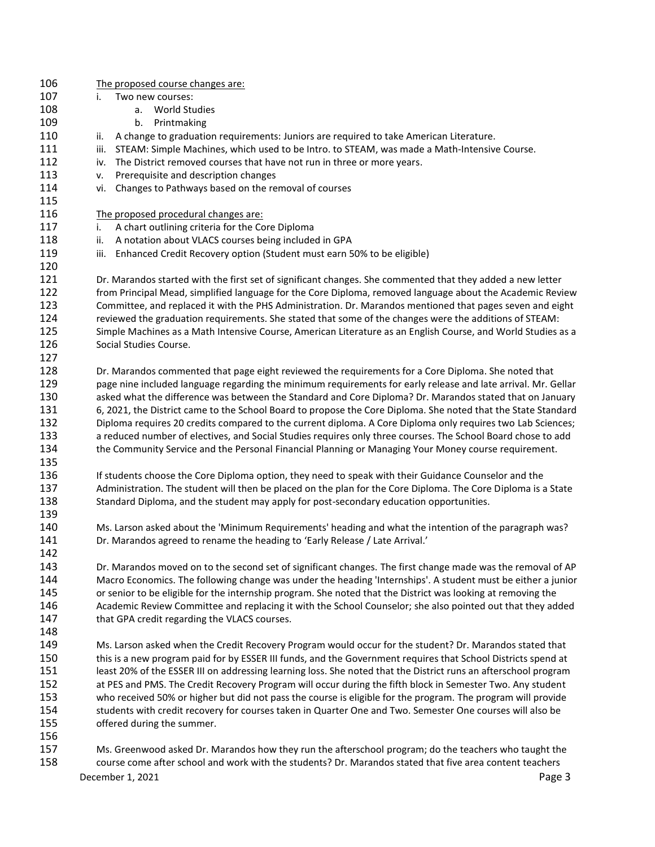December 1, 2021 **Page 3**  The proposed course changes are: i. Two new courses: a. World Studies b. Printmaking 110 ii. A change to graduation requirements: Juniors are required to take American Literature. 111 iii. STEAM: Simple Machines, which used to be Intro. to STEAM, was made a Math-Intensive Course. 112 iv. The District removed courses that have not run in three or more years. v. Prerequisite and description changes vi. Changes to Pathways based on the removal of courses The proposed procedural changes are: 117 i. A chart outlining criteria for the Core Diploma 118 ii. A notation about VLACS courses being included in GPA 119 iii. Enhanced Credit Recovery option (Student must earn 50% to be eligible) Dr. Marandos started with the first set of significant changes. She commented that they added a new letter from Principal Mead, simplified language for the Core Diploma, removed language about the Academic Review Committee, and replaced it with the PHS Administration. Dr. Marandos mentioned that pages seven and eight reviewed the graduation requirements. She stated that some of the changes were the additions of STEAM: Simple Machines as a Math Intensive Course, American Literature as an English Course, and World Studies as a Social Studies Course. Dr. Marandos commented that page eight reviewed the requirements for a Core Diploma. She noted that page nine included language regarding the minimum requirements for early release and late arrival. Mr. Gellar asked what the difference was between the Standard and Core Diploma? Dr. Marandos stated that on January 6, 2021, the District came to the School Board to propose the Core Diploma. She noted that the State Standard Diploma requires 20 credits compared to the current diploma. A Core Diploma only requires two Lab Sciences; a reduced number of electives, and Social Studies requires only three courses. The School Board chose to add the Community Service and the Personal Financial Planning or Managing Your Money course requirement. If students choose the Core Diploma option, they need to speak with their Guidance Counselor and the Administration. The student will then be placed on the plan for the Core Diploma. The Core Diploma is a State Standard Diploma, and the student may apply for post-secondary education opportunities. Ms. Larson asked about the 'Minimum Requirements' heading and what the intention of the paragraph was? Dr. Marandos agreed to rename the heading to 'Early Release / Late Arrival.' Dr. Marandos moved on to the second set of significant changes. The first change made was the removal of AP Macro Economics. The following change was under the heading 'Internships'. A student must be either a junior or senior to be eligible for the internship program. She noted that the District was looking at removing the Academic Review Committee and replacing it with the School Counselor; she also pointed out that they added 147 that GPA credit regarding the VLACS courses. Ms. Larson asked when the Credit Recovery Program would occur for the student? Dr. Marandos stated that this is a new program paid for by ESSER III funds, and the Government requires that School Districts spend at least 20% of the ESSER III on addressing learning loss. She noted that the District runs an afterschool program at PES and PMS. The Credit Recovery Program will occur during the fifth block in Semester Two. Any student who received 50% or higher but did not pass the course is eligible for the program. The program will provide students with credit recovery for courses taken in Quarter One and Two. Semester One courses will also be offered during the summer. Ms. Greenwood asked Dr. Marandos how they run the afterschool program; do the teachers who taught the course come after school and work with the students? Dr. Marandos stated that five area content teachers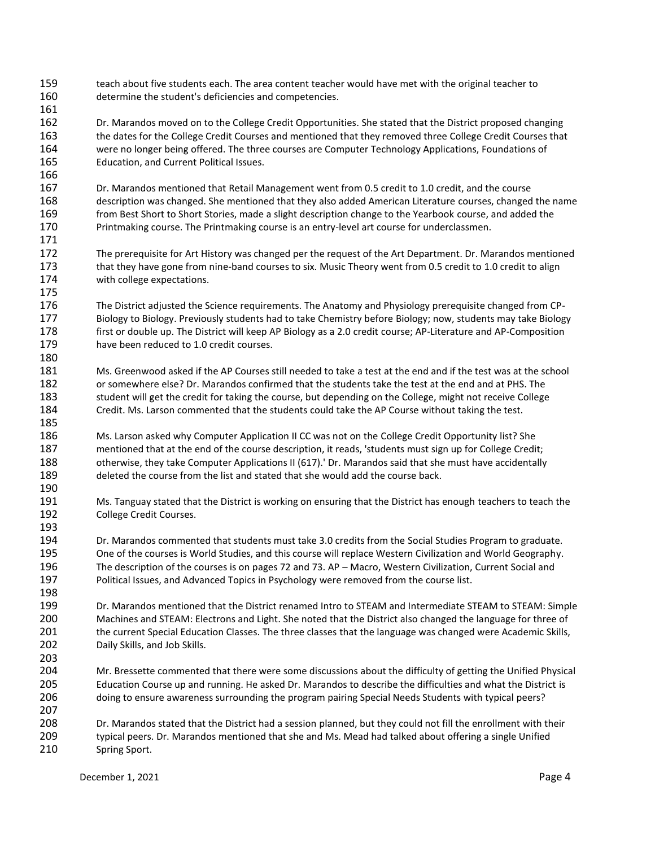- teach about five students each. The area content teacher would have met with the original teacher to determine the student's deficiencies and competencies.
- Dr. Marandos moved on to the College Credit Opportunities. She stated that the District proposed changing the dates for the College Credit Courses and mentioned that they removed three College Credit Courses that were no longer being offered. The three courses are Computer Technology Applications, Foundations of Education, and Current Political Issues.
- Dr. Marandos mentioned that Retail Management went from 0.5 credit to 1.0 credit, and the course description was changed. She mentioned that they also added American Literature courses, changed the name from Best Short to Short Stories, made a slight description change to the Yearbook course, and added the Printmaking course. The Printmaking course is an entry-level art course for underclassmen.
- The prerequisite for Art History was changed per the request of the Art Department. Dr. Marandos mentioned 173 that they have gone from nine-band courses to six. Music Theory went from 0.5 credit to 1.0 credit to align with college expectations.
- The District adjusted the Science requirements. The Anatomy and Physiology prerequisite changed from CP- Biology to Biology. Previously students had to take Chemistry before Biology; now, students may take Biology first or double up. The District will keep AP Biology as a 2.0 credit course; AP-Literature and AP-Composition have been reduced to 1.0 credit courses.
- Ms. Greenwood asked if the AP Courses still needed to take a test at the end and if the test was at the school or somewhere else? Dr. Marandos confirmed that the students take the test at the end and at PHS. The student will get the credit for taking the course, but depending on the College, might not receive College Credit. Ms. Larson commented that the students could take the AP Course without taking the test.
- Ms. Larson asked why Computer Application II CC was not on the College Credit Opportunity list? She mentioned that at the end of the course description, it reads, 'students must sign up for College Credit; otherwise, they take Computer Applications II (617).' Dr. Marandos said that she must have accidentally deleted the course from the list and stated that she would add the course back.
- Ms. Tanguay stated that the District is working on ensuring that the District has enough teachers to teach the College Credit Courses.
- Dr. Marandos commented that students must take 3.0 credits from the Social Studies Program to graduate. One of the courses is World Studies, and this course will replace Western Civilization and World Geography. The description of the courses is on pages 72 and 73. AP – Macro, Western Civilization, Current Social and Political Issues, and Advanced Topics in Psychology were removed from the course list.
- Dr. Marandos mentioned that the District renamed Intro to STEAM and Intermediate STEAM to STEAM: Simple Machines and STEAM: Electrons and Light. She noted that the District also changed the language for three of the current Special Education Classes. The three classes that the language was changed were Academic Skills, Daily Skills, and Job Skills.
- Mr. Bressette commented that there were some discussions about the difficulty of getting the Unified Physical Education Course up and running. He asked Dr. Marandos to describe the difficulties and what the District is doing to ensure awareness surrounding the program pairing Special Needs Students with typical peers?
- Dr. Marandos stated that the District had a session planned, but they could not fill the enrollment with their typical peers. Dr. Marandos mentioned that she and Ms. Mead had talked about offering a single Unified Spring Sport.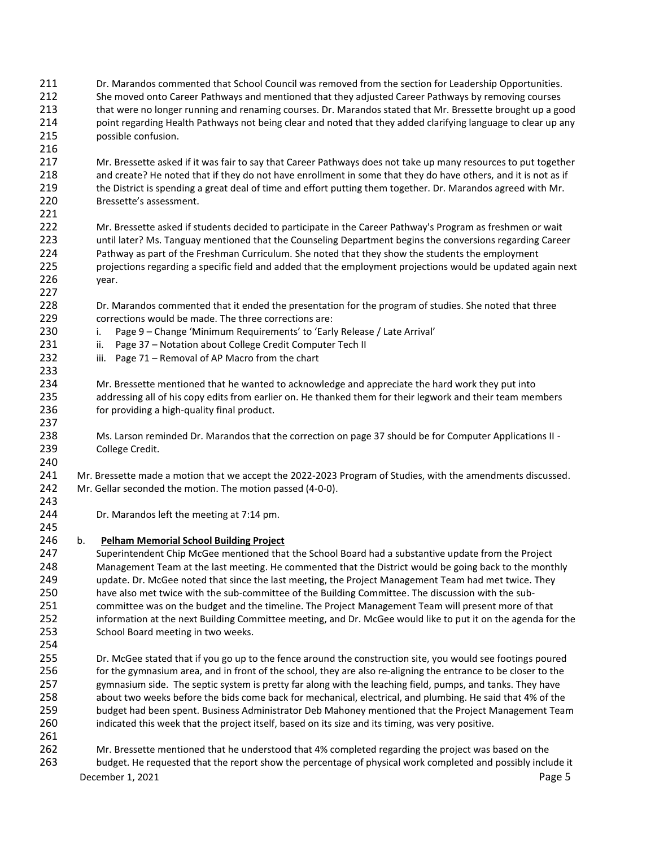- Dr. Marandos commented that School Council was removed from the section for Leadership Opportunities. She moved onto Career Pathways and mentioned that they adjusted Career Pathways by removing courses that were no longer running and renaming courses. Dr. Marandos stated that Mr. Bressette brought up a good point regarding Health Pathways not being clear and noted that they added clarifying language to clear up any possible confusion.
- Mr. Bressette asked if it was fair to say that Career Pathways does not take up many resources to put together and create? He noted that if they do not have enrollment in some that they do have others, and it is not as if the District is spending a great deal of time and effort putting them together. Dr. Marandos agreed with Mr. Bressette's assessment.
- Mr. Bressette asked if students decided to participate in the Career Pathway's Program as freshmen or wait until later? Ms. Tanguay mentioned that the Counseling Department begins the conversions regarding Career Pathway as part of the Freshman Curriculum. She noted that they show the students the employment projections regarding a specific field and added that the employment projections would be updated again next year.
- Dr. Marandos commented that it ended the presentation for the program of studies. She noted that three corrections would be made. The three corrections are:
- i. Page 9 Change 'Minimum Requirements' to 'Early Release / Late Arrival'
- 231 ii. Page 37 Notation about College Credit Computer Tech II
- 232 iii. Page 71 Removal of AP Macro from the chart
- Mr. Bressette mentioned that he wanted to acknowledge and appreciate the hard work they put into addressing all of his copy edits from earlier on. He thanked them for their legwork and their team members 236 for providing a high-quality final product.
- Ms. Larson reminded Dr. Marandos that the correction on page 37 should be for Computer Applications II College Credit.
- Mr. Bressette made a motion that we accept the 2022-2023 Program of Studies, with the amendments discussed. Mr. Gellar seconded the motion. The motion passed (4-0-0).
- Dr. Marandos left the meeting at 7:14 pm.
- b. **Pelham Memorial School Building Project**
- Superintendent Chip McGee mentioned that the School Board had a substantive update from the Project Management Team at the last meeting. He commented that the District would be going back to the monthly update. Dr. McGee noted that since the last meeting, the Project Management Team had met twice. They have also met twice with the sub-committee of the Building Committee. The discussion with the sub- committee was on the budget and the timeline. The Project Management Team will present more of that information at the next Building Committee meeting, and Dr. McGee would like to put it on the agenda for the School Board meeting in two weeks.
- 

- Dr. McGee stated that if you go up to the fence around the construction site, you would see footings poured 256 for the gymnasium area, and in front of the school, they are also re-aligning the entrance to be closer to the gymnasium side. The septic system is pretty far along with the leaching field, pumps, and tanks. They have about two weeks before the bids come back for mechanical, electrical, and plumbing. He said that 4% of the budget had been spent. Business Administrator Deb Mahoney mentioned that the Project Management Team indicated this week that the project itself, based on its size and its timing, was very positive.
- 
- Mr. Bressette mentioned that he understood that 4% completed regarding the project was based on the budget. He requested that the report show the percentage of physical work completed and possibly include it

December 1, 2021 **Page 5**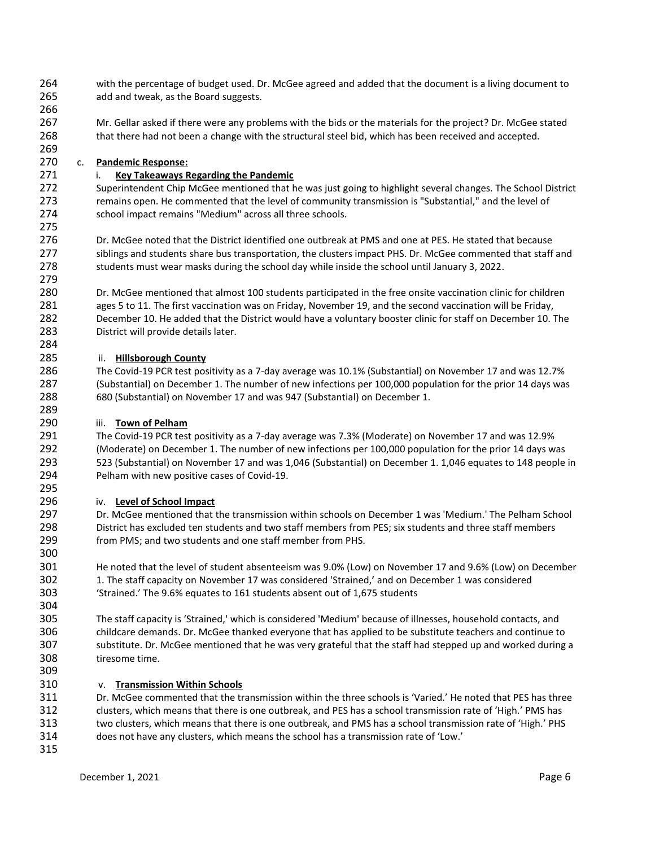- with the percentage of budget used. Dr. McGee agreed and added that the document is a living document to add and tweak, as the Board suggests.
- Mr. Gellar asked if there were any problems with the bids or the materials for the project? Dr. McGee stated that there had not been a change with the structural steel bid, which has been received and accepted.

# c. **Pandemic Response:**

## i. **Key Takeaways Regarding the Pandemic**

 Superintendent Chip McGee mentioned that he was just going to highlight several changes. The School District remains open. He commented that the level of community transmission is "Substantial," and the level of school impact remains "Medium" across all three schools.

 Dr. McGee noted that the District identified one outbreak at PMS and one at PES. He stated that because 277 siblings and students share bus transportation, the clusters impact PHS. Dr. McGee commented that staff and students must wear masks during the school day while inside the school until January 3, 2022.

 Dr. McGee mentioned that almost 100 students participated in the free onsite vaccination clinic for children ages 5 to 11. The first vaccination was on Friday, November 19, and the second vaccination will be Friday, December 10. He added that the District would have a voluntary booster clinic for staff on December 10. The District will provide details later.

# ii. **Hillsborough County**

 The Covid-19 PCR test positivity as a 7-day average was 10.1% (Substantial) on November 17 and was 12.7% (Substantial) on December 1. The number of new infections per 100,000 population for the prior 14 days was 680 (Substantial) on November 17 and was 947 (Substantial) on December 1.

### iii. **Town of Pelham**

 The Covid-19 PCR test positivity as a 7-day average was 7.3% (Moderate) on November 17 and was 12.9% (Moderate) on December 1. The number of new infections per 100,000 population for the prior 14 days was 523 (Substantial) on November 17 and was 1,046 (Substantial) on December 1. 1,046 equates to 148 people in Pelham with new positive cases of Covid-19.

### iv. **Level of School Impact**

 Dr. McGee mentioned that the transmission within schools on December 1 was 'Medium.' The Pelham School District has excluded ten students and two staff members from PES; six students and three staff members from PMS; and two students and one staff member from PHS.

 He noted that the level of student absenteeism was 9.0% (Low) on November 17 and 9.6% (Low) on December 1. The staff capacity on November 17 was considered 'Strained,' and on December 1 was considered 'Strained.' The 9.6% equates to 161 students absent out of 1,675 students

 The staff capacity is 'Strained,' which is considered 'Medium' because of illnesses, household contacts, and childcare demands. Dr. McGee thanked everyone that has applied to be substitute teachers and continue to substitute. Dr. McGee mentioned that he was very grateful that the staff had stepped up and worked during a tiresome time.

### v. **Transmission Within Schools**

 Dr. McGee commented that the transmission within the three schools is 'Varied.' He noted that PES has three clusters, which means that there is one outbreak, and PES has a school transmission rate of 'High.' PMS has two clusters, which means that there is one outbreak, and PMS has a school transmission rate of 'High.' PHS does not have any clusters, which means the school has a transmission rate of 'Low.'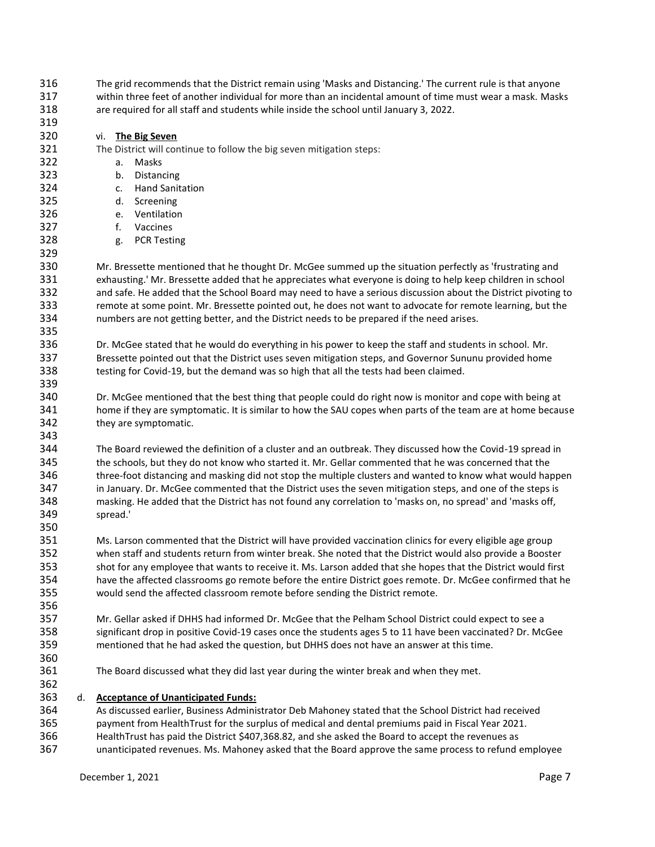The grid recommends that the District remain using 'Masks and Distancing.' The current rule is that anyone within three feet of another individual for more than an incidental amount of time must wear a mask. Masks are required for all staff and students while inside the school until January 3, 2022.

### vi. **The Big Seven**

#### The District will continue to follow the big seven mitigation steps:

a. Masks

- b. Distancing
- c. Hand Sanitation
- d. Screening
- e. Ventilation
- f. Vaccines
- g. PCR Testing

 Mr. Bressette mentioned that he thought Dr. McGee summed up the situation perfectly as 'frustrating and exhausting.' Mr. Bressette added that he appreciates what everyone is doing to help keep children in school and safe. He added that the School Board may need to have a serious discussion about the District pivoting to remote at some point. Mr. Bressette pointed out, he does not want to advocate for remote learning, but the numbers are not getting better, and the District needs to be prepared if the need arises.

 Dr. McGee stated that he would do everything in his power to keep the staff and students in school. Mr. Bressette pointed out that the District uses seven mitigation steps, and Governor Sununu provided home testing for Covid-19, but the demand was so high that all the tests had been claimed.

 Dr. McGee mentioned that the best thing that people could do right now is monitor and cope with being at home if they are symptomatic. It is similar to how the SAU copes when parts of the team are at home because they are symptomatic.

 The Board reviewed the definition of a cluster and an outbreak. They discussed how the Covid-19 spread in the schools, but they do not know who started it. Mr. Gellar commented that he was concerned that the three-foot distancing and masking did not stop the multiple clusters and wanted to know what would happen in January. Dr. McGee commented that the District uses the seven mitigation steps, and one of the steps is masking. He added that the District has not found any correlation to 'masks on, no spread' and 'masks off, spread.'

 Ms. Larson commented that the District will have provided vaccination clinics for every eligible age group when staff and students return from winter break. She noted that the District would also provide a Booster shot for any employee that wants to receive it. Ms. Larson added that she hopes that the District would first have the affected classrooms go remote before the entire District goes remote. Dr. McGee confirmed that he would send the affected classroom remote before sending the District remote.

 Mr. Gellar asked if DHHS had informed Dr. McGee that the Pelham School District could expect to see a significant drop in positive Covid-19 cases once the students ages 5 to 11 have been vaccinated? Dr. McGee mentioned that he had asked the question, but DHHS does not have an answer at this time.

The Board discussed what they did last year during the winter break and when they met.

### d. **Acceptance of Unanticipated Funds:**

 As discussed earlier, Business Administrator Deb Mahoney stated that the School District had received payment from HealthTrust for the surplus of medical and dental premiums paid in Fiscal Year 2021. HealthTrust has paid the District \$407,368.82, and she asked the Board to accept the revenues as

unanticipated revenues. Ms. Mahoney asked that the Board approve the same process to refund employee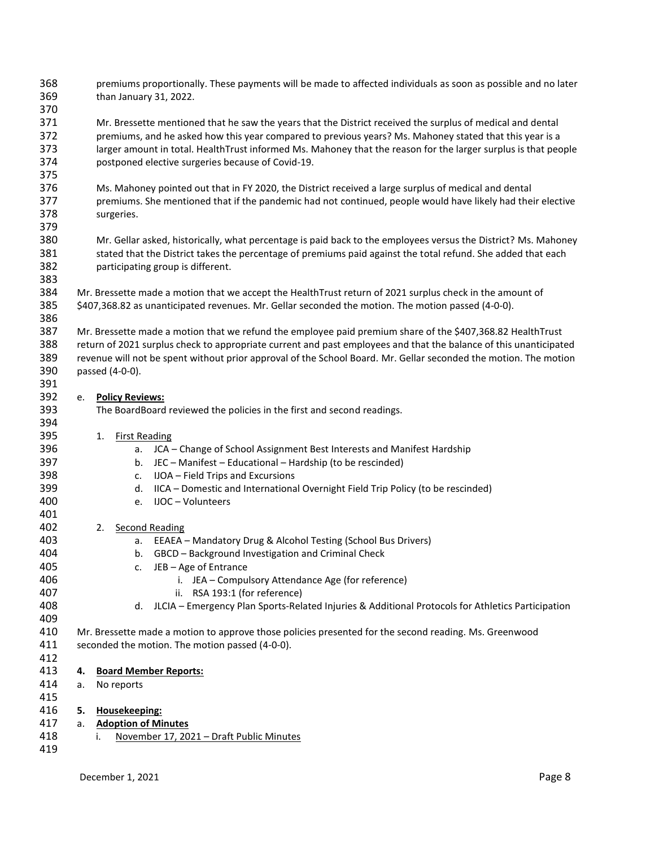- premiums proportionally. These payments will be made to affected individuals as soon as possible and no later than January 31, 2022.
- Mr. Bressette mentioned that he saw the years that the District received the surplus of medical and dental premiums, and he asked how this year compared to previous years? Ms. Mahoney stated that this year is a larger amount in total. HealthTrust informed Ms. Mahoney that the reason for the larger surplus is that people postponed elective surgeries because of Covid-19.
- Ms. Mahoney pointed out that in FY 2020, the District received a large surplus of medical and dental premiums. She mentioned that if the pandemic had not continued, people would have likely had their elective surgeries.
- Mr. Gellar asked, historically, what percentage is paid back to the employees versus the District? Ms. Mahoney 381 stated that the District takes the percentage of premiums paid against the total refund. She added that each participating group is different.
- Mr. Bressette made a motion that we accept the HealthTrust return of 2021 surplus check in the amount of \$407,368.82 as unanticipated revenues. Mr. Gellar seconded the motion. The motion passed (4-0-0).
- 

- Mr. Bressette made a motion that we refund the employee paid premium share of the \$407,368.82 HealthTrust return of 2021 surplus check to appropriate current and past employees and that the balance of this unanticipated revenue will not be spent without prior approval of the School Board. Mr. Gellar seconded the motion. The motion passed (4-0-0).
- e. **Policy Reviews:**
- The BoardBoard reviewed the policies in the first and second readings.
- 1. First Reading
- a. JCA Change of School Assignment Best Interests and Manifest Hardship
- b. JEC Manifest Educational Hardship (to be rescinded)
- c. IJOA Field Trips and Excursions
- d. IICA Domestic and International Overnight Field Trip Policy (to be rescinded)
- e. IJOC Volunteers
- 2. Second Reading
- a. EEAEA Mandatory Drug & Alcohol Testing (School Bus Drivers)
- b. GBCD Background Investigation and Criminal Check
- c. JEB Age of Entrance
- i. JEA Compulsory Attendance Age (for reference)
- ii. RSA 193:1 (for reference)
- d. JLCIA Emergency Plan Sports-Related Injuries & Additional Protocols for Athletics Participation
- Mr. Bressette made a motion to approve those policies presented for the second reading. Ms. Greenwood seconded the motion. The motion passed (4-0-0).
- **4. Board Member Reports:**
- a. No reports
- **5. Housekeeping:** a. **Adoption of Minutes**
- i. November 17, 2021 Draft Public Minutes
	- December 1, 2021 **Page 8**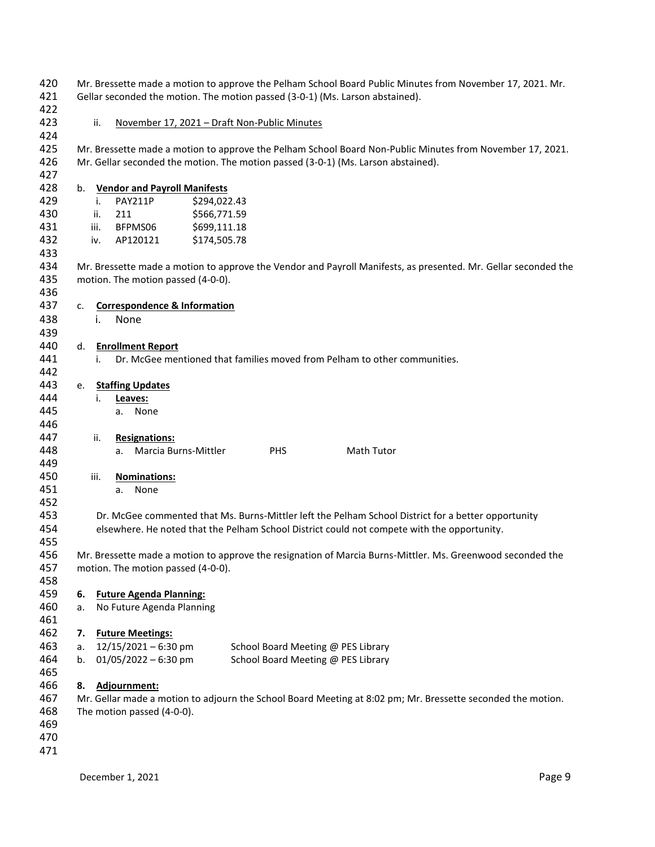| 420<br>421<br>422 |      | Mr. Bressette made a motion to approve the Pelham School Board Public Minutes from November 17, 2021. Mr.<br>Gellar seconded the motion. The motion passed (3-0-1) (Ms. Larson abstained). |
|-------------------|------|--------------------------------------------------------------------------------------------------------------------------------------------------------------------------------------------|
| 423               |      | ii.<br>November 17, 2021 - Draft Non-Public Minutes                                                                                                                                        |
| 424<br>425        |      | Mr. Bressette made a motion to approve the Pelham School Board Non-Public Minutes from November 17, 2021.                                                                                  |
| 426<br>427        |      | Mr. Gellar seconded the motion. The motion passed (3-0-1) (Ms. Larson abstained).                                                                                                          |
| 428               | b.   | <b>Vendor and Payroll Manifests</b>                                                                                                                                                        |
| 429               |      | \$294,022.43<br>PAY211P<br>i.                                                                                                                                                              |
| 430               |      | 211<br>\$566,771.59<br>ii.                                                                                                                                                                 |
| 431               | iii. | BFPMS06<br>\$699,111.18                                                                                                                                                                    |
| 432               | iv.  | AP120121<br>\$174,505.78                                                                                                                                                                   |
| 433<br>434        |      | Mr. Bressette made a motion to approve the Vendor and Payroll Manifests, as presented. Mr. Gellar seconded the                                                                             |
| 435<br>436        |      | motion. The motion passed (4-0-0).                                                                                                                                                         |
| 437               | c.   | <b>Correspondence &amp; Information</b>                                                                                                                                                    |
| 438               |      | None<br>i.                                                                                                                                                                                 |
| 439               |      |                                                                                                                                                                                            |
| 440               |      | d. Enrollment Report                                                                                                                                                                       |
| 441               |      | Dr. McGee mentioned that families moved from Pelham to other communities.<br>i.                                                                                                            |
| 442               |      |                                                                                                                                                                                            |
| 443               | e.   | <b>Staffing Updates</b>                                                                                                                                                                    |
| 444               |      | i.<br>Leaves:                                                                                                                                                                              |
| 445               |      | None<br>a.                                                                                                                                                                                 |
| 446               |      |                                                                                                                                                                                            |
| 447               |      | <b>Resignations:</b><br>ii.                                                                                                                                                                |
| 448<br>449        |      | Marcia Burns-Mittler<br><b>PHS</b><br>Math Tutor<br>a.                                                                                                                                     |
| 450               | iii. | <b>Nominations:</b>                                                                                                                                                                        |
| 451               |      | None<br>a.                                                                                                                                                                                 |
| 452               |      |                                                                                                                                                                                            |
| 453               |      | Dr. McGee commented that Ms. Burns-Mittler left the Pelham School District for a better opportunity                                                                                        |
| 454               |      | elsewhere. He noted that the Pelham School District could not compete with the opportunity.                                                                                                |
| 455               |      |                                                                                                                                                                                            |
| 456               |      | Mr. Bressette made a motion to approve the resignation of Marcia Burns-Mittler. Ms. Greenwood seconded the                                                                                 |
| 457               |      | motion. The motion passed (4-0-0).                                                                                                                                                         |
| 458               |      |                                                                                                                                                                                            |
| 459               | 6.   | <b>Future Agenda Planning:</b>                                                                                                                                                             |
| 460               | a.   | No Future Agenda Planning                                                                                                                                                                  |
| 461               |      |                                                                                                                                                                                            |
| 462               | 7.   | <b>Future Meetings:</b>                                                                                                                                                                    |
| 463               | a.   | $12/15/2021 - 6:30$ pm<br>School Board Meeting @ PES Library                                                                                                                               |
| 464               | b.   | $01/05/2022 - 6:30$ pm<br>School Board Meeting @ PES Library                                                                                                                               |
| 465               |      |                                                                                                                                                                                            |
| 466               | 8.   | Adjournment:                                                                                                                                                                               |
| 467               |      | Mr. Gellar made a motion to adjourn the School Board Meeting at 8:02 pm; Mr. Bressette seconded the motion.                                                                                |
| 468<br>469        |      | The motion passed (4-0-0).                                                                                                                                                                 |
| 470               |      |                                                                                                                                                                                            |
| 471               |      |                                                                                                                                                                                            |
|                   |      |                                                                                                                                                                                            |
|                   |      | Page 9<br>December 1, 2021                                                                                                                                                                 |